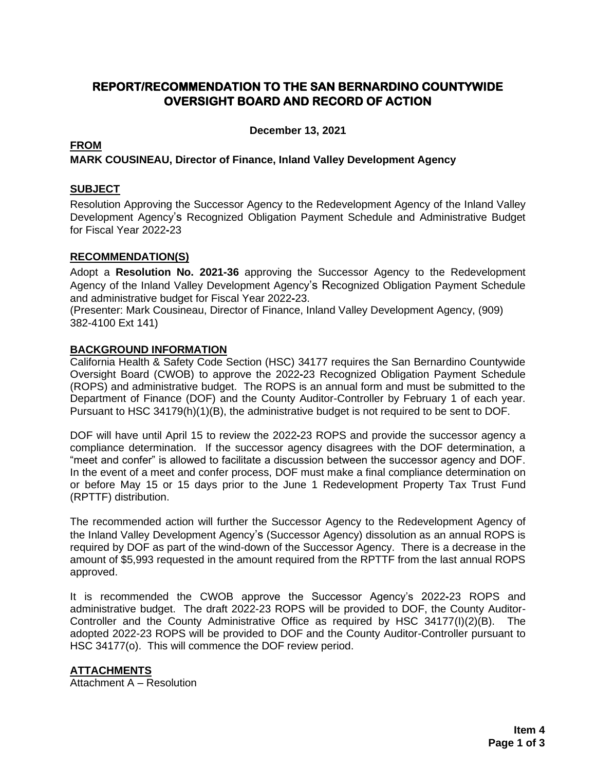# **REPORT/RECOMMENDATION TO THE SAN BERNARDINO COUNTYWIDE OVERSIGHT BOARD AND RECORD OF ACTION**

**December 13, 2021**

## **FROM**

## **MARK COUSINEAU, Director of Finance, Inland Valley Development Agency**

### **SUBJECT**

Resolution Approving the Successor Agency to the Redevelopment Agency of the Inland Valley Development Agency's Recognized Obligation Payment Schedule and Administrative Budget for Fiscal Year 2022**-**23

### **RECOMMENDATION(S)**

Adopt a **Resolution No. 2021-36** approving the Successor Agency to the Redevelopment Agency of the Inland Valley Development Agency's Recognized Obligation Payment Schedule and administrative budget for Fiscal Year 2022**-**23.

(Presenter: Mark Cousineau, Director of Finance, Inland Valley Development Agency, (909) 382-4100 Ext 141)

### **BACKGROUND INFORMATION**

California Health & Safety Code Section (HSC) 34177 requires the San Bernardino Countywide Oversight Board (CWOB) to approve the 2022**-**23 Recognized Obligation Payment Schedule (ROPS) and administrative budget. The ROPS is an annual form and must be submitted to the Department of Finance (DOF) and the County Auditor-Controller by February 1 of each year. Pursuant to HSC 34179(h)(1)(B), the administrative budget is not required to be sent to DOF.

DOF will have until April 15 to review the 2022**-**23 ROPS and provide the successor agency a compliance determination. If the successor agency disagrees with the DOF determination, a "meet and confer" is allowed to facilitate a discussion between the successor agency and DOF. In the event of a meet and confer process, DOF must make a final compliance determination on or before May 15 or 15 days prior to the June 1 Redevelopment Property Tax Trust Fund (RPTTF) distribution.

The recommended action will further the Successor Agency to the Redevelopment Agency of the Inland Valley Development Agency's (Successor Agency) dissolution as an annual ROPS is required by DOF as part of the wind-down of the Successor Agency. There is a decrease in the amount of \$5,993 requested in the amount required from the RPTTF from the last annual ROPS approved.

It is recommended the CWOB approve the Successor Agency's 2022**-**23 ROPS and administrative budget. The draft 2022-23 ROPS will be provided to DOF, the County Auditor-Controller and the County Administrative Office as required by HSC 34177(I)(2)(B). The adopted 2022-23 ROPS will be provided to DOF and the County Auditor-Controller pursuant to HSC 34177(o). This will commence the DOF review period.

### **ATTACHMENTS**

Attachment A – Resolution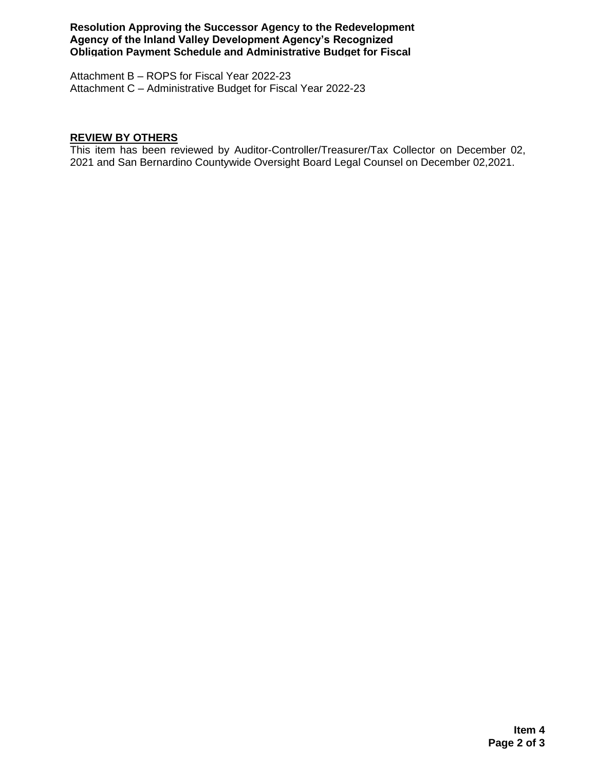**Resolution Approving the Successor Agency to the Redevelopment Agency of the Inland Valley Development Agency's Recognized Obligation Payment Schedule and Administrative Budget for Fiscal** 

Attachment B - ROPS for Fiscal Year 2022-23 Attachment C – Administrative Budget for Fiscal Year 2022-23

# **REVIEW BY OTHERS**

This item has been reviewed by Auditor-Controller/Treasurer/Tax Collector on December 02, 2021 and San Bernardino Countywide Oversight Board Legal Counsel on December 02,2021.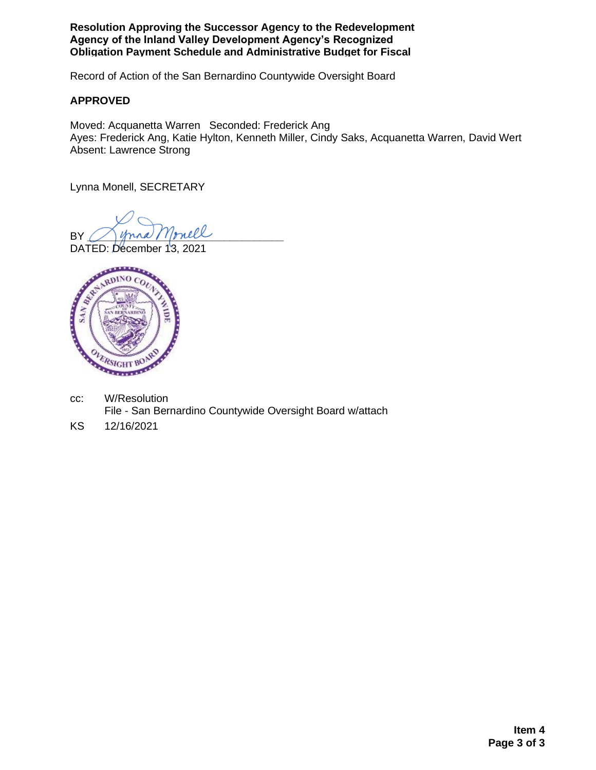**Resolution Approving the Successor Agency to the Redevelopment Agency of the Inland Valley Development Agency's Recognized Obligation Payment Schedule and Administrative Budget for Fiscal** 

Record of Action of the San Bernardino Countywide Oversight Board

### **APPROVED**

Moved: Acquanetta Warren Seconded: Frederick Ang Ayes: Frederick Ang, Katie Hylton, Kenneth Miller, Cindy Saks, Acquanetta Warren, David Wert Absent: Lawrence Strong

Lynna Monell, SECRETARY

BY Mona Monell

DATED: December 13, 2021



- cc: W/Resolution File - San Bernardino Countywide Oversight Board w/attach
- KS 12/16/2021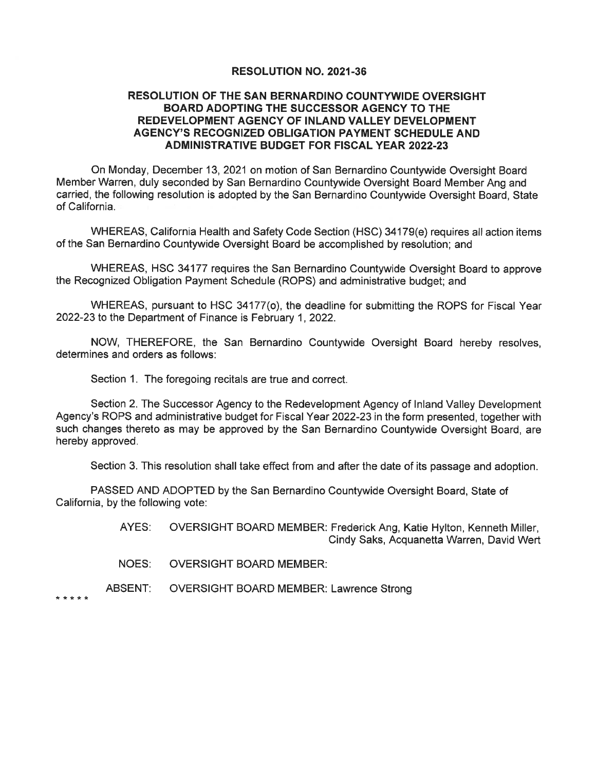#### **RESOLUTION NO. 2021-36**

### RESOLUTION OF THE SAN BERNARDINO COUNTYWIDE OVERSIGHT **BOARD ADOPTING THE SUCCESSOR AGENCY TO THE** REDEVELOPMENT AGENCY OF INLAND VALLEY DEVELOPMENT AGENCY'S RECOGNIZED OBLIGATION PAYMENT SCHEDULE AND **ADMINISTRATIVE BUDGET FOR FISCAL YEAR 2022-23**

On Monday, December 13, 2021 on motion of San Bernardino Countywide Oversight Board Member Warren, duly seconded by San Bernardino Countywide Oversight Board Member Ang and carried, the following resolution is adopted by the San Bernardino Countywide Oversight Board, State of California.

WHEREAS, California Health and Safety Code Section (HSC) 34179(e) requires all action items of the San Bernardino Countywide Oversight Board be accomplished by resolution: and

WHEREAS, HSC 34177 requires the San Bernardino Countywide Oversight Board to approve the Recognized Obligation Payment Schedule (ROPS) and administrative budget; and

WHEREAS, pursuant to HSC 34177(o), the deadline for submitting the ROPS for Fiscal Year 2022-23 to the Department of Finance is February 1, 2022.

NOW, THEREFORE, the San Bernardino Countywide Oversight Board hereby resolves, determines and orders as follows:

Section 1. The foregoing recitals are true and correct.

Section 2. The Successor Agency to the Redevelopment Agency of Inland Valley Development Agency's ROPS and administrative budget for Fiscal Year 2022-23 in the form presented, together with such changes thereto as may be approved by the San Bernardino Countywide Oversight Board, are hereby approved.

Section 3. This resolution shall take effect from and after the date of its passage and adoption.

PASSED AND ADOPTED by the San Bernardino Countywide Oversight Board, State of California, by the following vote:

> AYES: OVERSIGHT BOARD MEMBER: Frederick Ang, Katie Hylton, Kenneth Miller, Cindy Saks, Acquanetta Warren, David Wert

**NOES: OVERSIGHT BOARD MEMBER:** 

ABSENT: **OVERSIGHT BOARD MEMBER: Lawrence Strong** 

\* \* \* \* \*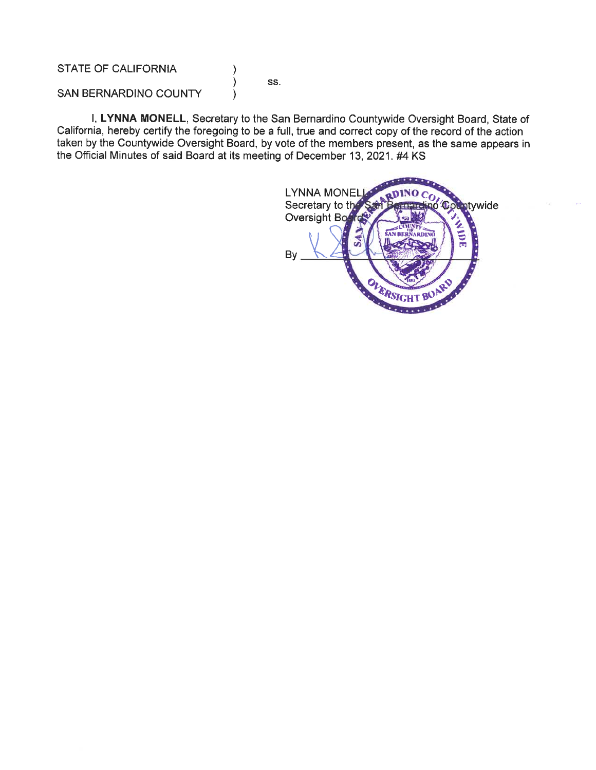STATE OF CALIFORNIA

SS.

SAN BERNARDINO COUNTY

I, LYNNA MONELL, Secretary to the San Bernardino Countywide Oversight Board, State of California, hereby certify the foregoing to be a full, true and correct copy of the record of the action taken by the Countywide Oversight Board, by vote of the members present, as the same appears in the Official Minutes of said Board at its meeting of December 13, 2021. #4 KS

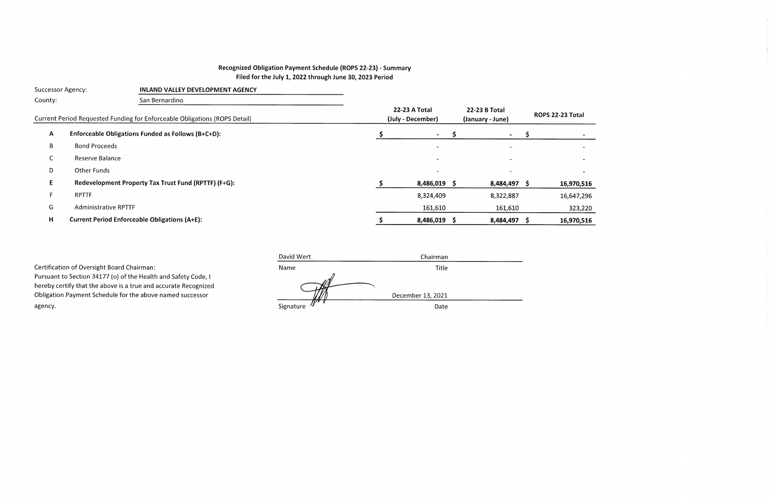# Recognized Obligation Payment Schedule (ROPS 22-23) - Summary Filed for the July 1, 2022 through June 30, 2023 Period

|              | Successor Agency:<br><b>INLAND VALLEY DEVELOPMENT AGENCY</b>               |                                           |  |                                   |  |                          |  |    |
|--------------|----------------------------------------------------------------------------|-------------------------------------------|--|-----------------------------------|--|--------------------------|--|----|
| County:      | San Bernardino                                                             |                                           |  |                                   |  |                          |  |    |
|              | Current Period Requested Funding for Enforceable Obligations (ROPS Detail) | <b>22-23 A Total</b><br>(July - December) |  | 22-23 B Total<br>(January - June) |  | <b>ROPS 22-23</b>        |  |    |
| $\mathsf{A}$ | Enforceable Obligations Funded as Follows (B+C+D):                         |                                           |  | $\sim$                            |  |                          |  |    |
| B            | <b>Bond Proceeds</b>                                                       |                                           |  |                                   |  | $\overline{\phantom{0}}$ |  |    |
| C            | Reserve Balance                                                            |                                           |  |                                   |  |                          |  |    |
| D            | <b>Other Funds</b>                                                         |                                           |  |                                   |  |                          |  |    |
| Е            | Redevelopment Property Tax Trust Fund (RPTTF) (F+G):                       |                                           |  | $8,486,019$ \$                    |  | 8,484,497 \$             |  | 16 |
|              | <b>RPTTF</b>                                                               |                                           |  | 8,324,409                         |  | 8,322,887                |  | 1( |
| G            | <b>Administrative RPTTF</b>                                                |                                           |  | 161,610                           |  | 161,610                  |  |    |
| н            | <b>Current Period Enforceable Obligations (A+E):</b>                       |                                           |  | 8,486,019                         |  | 8,484,497 \$             |  | 16 |
|              |                                                                            |                                           |  |                                   |  |                          |  |    |

|                                                                 | David Wert | Chairman          |  |
|-----------------------------------------------------------------|------------|-------------------|--|
| Certification of Oversight Board Chairman:                      | Name       | <b>Title</b>      |  |
| Pursuant to Section 34177 (o) of the Health and Safety Code, I  |            |                   |  |
| hereby certify that the above is a true and accurate Recognized |            |                   |  |
| Obligation Payment Schedule for the above named successor       |            | December 13, 2021 |  |
| agency.                                                         | Signature  | Date              |  |
|                                                                 |            |                   |  |

| ١                        |  |
|--------------------------|--|
| $\overline{\phantom{0}}$ |  |
| -                        |  |
| $\overline{\phantom{0}}$ |  |

# $16,970,516$

16,647,296

323,220

6,970,516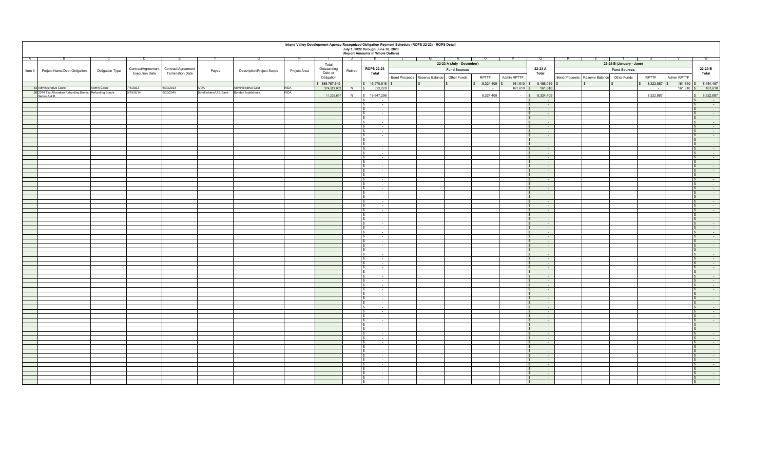|   | Inland Valley Development Agency Recognized Obligation Payment Schedule (ROPS 22-23) - ROPS Detail<br>July 1, 2022 through June 30, 2023<br>(Report Amounts in Whole Dollars) |                 |                       |                         |                      |                           |              |               |              |                                              |                          |                                           |                           |                                                                                            |             |                                                           |                                           |                          |                      |                                                              |
|---|-------------------------------------------------------------------------------------------------------------------------------------------------------------------------------|-----------------|-----------------------|-------------------------|----------------------|---------------------------|--------------|---------------|--------------|----------------------------------------------|--------------------------|-------------------------------------------|---------------------------|--------------------------------------------------------------------------------------------|-------------|-----------------------------------------------------------|-------------------------------------------|--------------------------|----------------------|--------------------------------------------------------------|
| A |                                                                                                                                                                               |                 | D                     |                         |                      |                           |              |               | $\mathsf{J}$ | $\mathsf{K}$                                 | $\overline{\phantom{a}}$ | – M                                       | N                         | $\circ$                                                                                    |             | Q                                                         |                                           |                          |                      |                                                              |
|   |                                                                                                                                                                               |                 |                       |                         |                      |                           |              | Total         |              |                                              |                          |                                           | 22-23 A (July - December) |                                                                                            |             |                                                           |                                           | 22-23 B (January - June) |                      |                                                              |
|   |                                                                                                                                                                               |                 | Contract/Agreement    | Contract/Agreement      |                      |                           |              | Outstanding   |              | <b>ROPS 22-23</b>                            |                          |                                           | <b>Fund Sources</b>       |                                                                                            |             | 22-23 A                                                   |                                           | <b>Fund Sources</b>      |                      | 22-23 B                                                      |
|   | Item # Project Name/Debt Obligation                                                                                                                                           | Obligation Type | <b>Execution Date</b> | <b>Termination Date</b> | Payee                | Description/Project Scope | Project Area | Debt or       | Retired      | Total                                        |                          |                                           |                           |                                                                                            |             | Total                                                     |                                           |                          |                      | Total                                                        |
|   |                                                                                                                                                                               |                 |                       |                         |                      |                           |              | Obligation    |              |                                              |                          | Bond Proceeds Reserve Balance Other Funds |                           | RPTTF                                                                                      | Admin RPTTF |                                                           | Bond Proceeds Reserve Balance Other Funds |                          | RPTTF<br>Admin RPTTF |                                                              |
|   |                                                                                                                                                                               |                 |                       |                         |                      |                           |              | \$385,757,649 |              | $\frac{1}{2}$ 16,970,516 \$                  | $ \sim$ $\sim$           | $ \sqrt{S}$                               | $\sim$ $-$                | $\begin{array}{ c c c c c } \hline \text{$s$} & 8,324,409 & \text{$s$} \hline \end{array}$ |             | 161,610 \$ 8,486,019 \$                                   | $ s$                                      |                          | \$8,322,887          | 161,610 \$ 8,484,497                                         |
|   | 42 Administrative Costs                                                                                                                                                       | Admin Costs     | 7/1/2022              | 6/30/2023               | <b>IVDA</b>          | Administrative Cost       | <b>IVDA</b>  | 374,522,032   |              | N   \$ 323,220                               |                          |                                           |                           | $\sim$                                                                                     |             | 161,610 \$ 161,610                                        |                                           |                          |                      | $161,610$ \$ 161,610                                         |
|   | 56 2014 Tax Allocation Refunding Bonds Refunding Bonds                                                                                                                        |                 | 5/15/2014             | 6/30/2045               | Bondholders/U.S.Bank | <b>Bonded Indebtness</b>  | <b>IVDA</b>  |               |              |                                              |                          |                                           |                           |                                                                                            |             |                                                           |                                           |                          |                      |                                                              |
|   | Series A & B                                                                                                                                                                  |                 |                       |                         |                      |                           |              | 11,235,617    | N            | \$ 16,647,296                                |                          |                                           |                           | 8,324,409                                                                                  | $\sim$      | \$8,324,409                                               |                                           |                          | 8,322,887            | 8,322,887                                                    |
|   |                                                                                                                                                                               |                 |                       |                         |                      |                           |              |               |              | $\sim$                                       |                          |                                           |                           |                                                                                            |             | $\sqrt{S}$<br>$\sim$                                      |                                           |                          |                      | $\mathbf{s}$<br>$\sim$                                       |
|   |                                                                                                                                                                               |                 |                       |                         |                      |                           |              |               |              | $\sqrt{s}$<br>$\sim$                         |                          |                                           |                           |                                                                                            |             | $\sqrt{S}$<br>$\sim$                                      |                                           |                          |                      | $\sqrt{s}$<br>$\sim 10^{-1}$                                 |
|   |                                                                                                                                                                               |                 |                       |                         |                      |                           |              |               |              | $\sim$ $-$<br>IS<br>IS.                      |                          |                                           |                           |                                                                                            |             | $\sqrt{S}$<br>$\sim 10^{-1}$<br>$\sqrt{s}$                |                                           |                          |                      | l s<br>$\sim$ 100 $\mu$<br>$\sim 100$<br>$\sim$              |
|   |                                                                                                                                                                               |                 |                       |                         |                      |                           |              |               |              | $\sim$ $-$<br>$\sim$                         |                          |                                           |                           |                                                                                            |             | $\sim 10^{-1}$<br>l S<br>$\sim$                           |                                           |                          |                      | $\sim$                                                       |
|   |                                                                                                                                                                               |                 |                       |                         |                      |                           |              |               |              | $\sim$                                       |                          |                                           |                           |                                                                                            |             | $\sim$<br>l S                                             |                                           |                          |                      | $\sim 10^{-1}$                                               |
|   |                                                                                                                                                                               |                 |                       |                         |                      |                           |              |               |              | $\overline{\phantom{a}}$                     |                          |                                           |                           |                                                                                            |             | l s<br>$\sim$                                             |                                           |                          |                      | $\sim$<br>l S                                                |
|   |                                                                                                                                                                               |                 |                       |                         |                      |                           |              |               |              | $\overline{\phantom{a}}$                     |                          |                                           |                           |                                                                                            |             | $\sqrt{s}$                                                |                                           |                          |                      | $\mathbf{s}$<br>$\sim$                                       |
|   |                                                                                                                                                                               |                 |                       |                         |                      |                           |              |               |              | $\sim$                                       |                          |                                           |                           |                                                                                            |             | $\sim$<br>$\sqrt{s}$                                      |                                           |                          |                      | $\sim$<br>$\mathbf{s}$                                       |
|   |                                                                                                                                                                               |                 |                       |                         |                      |                           |              |               |              | $\sim$<br>$\sim$                             |                          |                                           |                           |                                                                                            |             | $\sqrt{s}$<br>$\sim$                                      |                                           |                          |                      | $\sim 10^{-1}$<br>$\overline{\mathbf{s}}$                    |
|   |                                                                                                                                                                               |                 |                       |                         |                      |                           |              |               |              | $\sim$                                       |                          |                                           |                           |                                                                                            |             | l \$<br>$\sim$                                            |                                           |                          |                      | $\mathbf{s}$<br>$\sim$                                       |
|   |                                                                                                                                                                               |                 |                       |                         |                      |                           |              |               |              | $\sim$<br>I S                                |                          |                                           |                           |                                                                                            |             | $\sqrt{s}$<br>$\sim$                                      |                                           |                          |                      | n.<br>$\sqrt{s}$                                             |
|   |                                                                                                                                                                               |                 |                       |                         |                      |                           |              |               |              | $\sim$<br>$\sim$                             |                          |                                           |                           |                                                                                            |             | $\mathsf{s}$<br>$\sim$ $-$<br>$\sqrt{s}$<br>$\sim$ $-$    |                                           |                          |                      | $\sqrt{s}$<br>$\sim 10^{-1}$<br>$\sqrt{s}$<br>$\sim 10^{-1}$ |
|   |                                                                                                                                                                               |                 |                       |                         |                      |                           |              |               |              | $\sim$ $-$                                   |                          |                                           |                           |                                                                                            |             | $\sim 10^{-1}$<br>l S                                     |                                           |                          |                      | $\sim 10^{-11}$<br>$\mathbf{s}$                              |
|   |                                                                                                                                                                               |                 |                       |                         |                      |                           |              |               |              | $\sim$ $-$                                   |                          |                                           |                           |                                                                                            |             | $\sim$ $-$<br>S.                                          |                                           |                          |                      | $\sim$<br>1S                                                 |
|   |                                                                                                                                                                               |                 |                       |                         |                      |                           |              |               |              | $\sim$                                       |                          |                                           |                           |                                                                                            |             | IS.<br>$\sim$                                             |                                           |                          |                      | $\sim$ 100 $\mu$<br>$\sim$                                   |
|   |                                                                                                                                                                               |                 |                       |                         |                      |                           |              |               |              | $\sim$                                       |                          |                                           |                           |                                                                                            |             | $\mathbf{s}$<br>$\sim$                                    |                                           |                          |                      | $\mathsf{s}$<br>$\sim$                                       |
|   |                                                                                                                                                                               |                 |                       |                         |                      |                           |              |               |              | $\sim$                                       |                          |                                           |                           |                                                                                            |             | l s<br>$\sim$                                             |                                           |                          |                      | $\mathbf{s}$<br>$\sim$                                       |
|   |                                                                                                                                                                               |                 |                       |                         |                      |                           |              |               |              | $\cdot$                                      |                          |                                           |                           |                                                                                            |             | ÷                                                         |                                           |                          |                      | $\sim$<br>$\mathbf{s}$                                       |
|   |                                                                                                                                                                               |                 |                       |                         |                      |                           |              |               |              | $\sim$                                       |                          |                                           |                           |                                                                                            |             | $\sim$<br>$\sim 10^{-1}$                                  |                                           |                          |                      | $\hat{s}$<br>$\sim 100$                                      |
|   |                                                                                                                                                                               |                 |                       |                         |                      |                           |              |               |              | $\sim$                                       |                          |                                           |                           |                                                                                            |             | $\sqrt{s}$<br>$\sim$<br>$\overline{\mathbf{s}}$<br>$\sim$ |                                           |                          |                      | $\hat{s}$<br>$\sim$<br>$\sqrt{s}$<br>$\sim$                  |
|   |                                                                                                                                                                               |                 |                       |                         |                      |                           |              |               |              | $\sim$<br>IS.<br>$\sim$                      |                          |                                           |                           |                                                                                            |             | $\mathbf{s}$<br>$\sim$                                    |                                           |                          |                      | $\mathsf{S}$<br>$\sim 10^{-1}$                               |
|   |                                                                                                                                                                               |                 |                       |                         |                      |                           |              |               |              | $\sim$                                       |                          |                                           |                           |                                                                                            |             | $\sqrt{s}$<br>$\sim$                                      |                                           |                          |                      | $\sqrt{s}$<br>$\sim$                                         |
|   |                                                                                                                                                                               |                 |                       |                         |                      |                           |              |               |              | $\sim$                                       |                          |                                           |                           |                                                                                            |             | $\sqrt{S}$<br>$\sim$                                      |                                           |                          |                      | $\sim$<br>$\mathbf{s}$                                       |
|   |                                                                                                                                                                               |                 |                       |                         |                      |                           |              |               |              | $\sim$ $-$                                   |                          |                                           |                           |                                                                                            |             | $\sqrt{S}$<br>$\sim 10^{-1}$                              |                                           |                          |                      | $\sim 100$<br>$\mathbf{s}$                                   |
|   |                                                                                                                                                                               |                 |                       |                         |                      |                           |              |               |              | $\sim$ $-$                                   |                          |                                           |                           |                                                                                            |             | l S<br>$\sim$ $-$                                         |                                           |                          |                      | $\sim 100$<br>IS.                                            |
|   |                                                                                                                                                                               |                 |                       |                         |                      |                           |              |               |              | $\sim$<br>IS.                                |                          |                                           |                           |                                                                                            |             | $\sqrt{S}$<br>$\sim$                                      |                                           |                          |                      | $\sim$ $-$<br>IS.                                            |
|   |                                                                                                                                                                               |                 |                       |                         |                      |                           |              |               |              | $\sim$                                       |                          |                                           |                           |                                                                                            |             | IS.<br>$\sim$                                             |                                           |                          |                      | $\sim 10^{-1}$<br>IS                                         |
|   |                                                                                                                                                                               |                 |                       |                         |                      |                           |              |               |              | $\sim$                                       |                          |                                           |                           |                                                                                            |             |                                                           |                                           |                          |                      | $\sim$                                                       |
|   |                                                                                                                                                                               |                 |                       |                         |                      |                           |              |               |              | $\sim$                                       |                          |                                           |                           |                                                                                            |             | $\sim$<br>$\sqrt{s}$<br>$\sim$                            |                                           |                          |                      | $\sim 10^{-1}$<br>$\mathbf{s}$<br>$\mathbf{s}$               |
|   |                                                                                                                                                                               |                 |                       |                         |                      |                           |              |               |              | $\sim$<br>$\overline{\phantom{a}}$<br>$\sim$ |                          |                                           |                           |                                                                                            |             | $\sim$<br>$\sqrt{S}$<br>$\sim$ $\sim$                     |                                           |                          |                      | $\sim$<br>$\sqrt{s}$<br>$\sim 10^{-11}$                      |
|   |                                                                                                                                                                               |                 |                       |                         |                      |                           |              |               |              | l s<br>$\sim$                                |                          |                                           |                           |                                                                                            |             | $\sqrt{s}$<br>$\sim$                                      |                                           |                          |                      | l s<br>$\sim$                                                |
|   |                                                                                                                                                                               |                 |                       |                         |                      |                           |              |               |              | $\sim$<br>I S                                |                          |                                           |                           |                                                                                            |             | $\sqrt{s}$<br>$\sim$ $-$                                  |                                           |                          |                      | $\sqrt{s}$<br>$\sim$ $-$                                     |
|   |                                                                                                                                                                               |                 |                       |                         |                      |                           |              |               |              | $\sim$                                       |                          |                                           |                           |                                                                                            |             | $\mathbf{s}$<br>$\sim$                                    |                                           |                          |                      | $\sim$<br>S.                                                 |
|   |                                                                                                                                                                               |                 |                       |                         |                      |                           |              |               |              | $\sim$                                       |                          |                                           |                           |                                                                                            |             | $\sqrt{S}$<br>$\sim$                                      |                                           |                          |                      | $\sqrt{s}$<br>$\sim 100$                                     |
|   |                                                                                                                                                                               |                 |                       |                         |                      |                           |              |               |              | $\sim$                                       |                          |                                           |                           |                                                                                            |             | $\sim 10^{-1}$<br>S.                                      |                                           |                          |                      | $\mathbf{s}$<br>$\sim 10^{-1}$                               |
|   |                                                                                                                                                                               |                 |                       |                         |                      |                           |              |               |              | $\sim$                                       |                          |                                           |                           |                                                                                            |             | $\sim$ $-$<br>IS.                                         |                                           |                          |                      | $\sim 10^{-1}$<br>IS.                                        |
|   |                                                                                                                                                                               |                 |                       |                         |                      |                           |              |               |              | $\sim$                                       |                          |                                           |                           |                                                                                            |             | $\overline{\mathbf{s}}$<br>$\sim$<br>$\sim$               |                                           |                          |                      | $\mathbf{s}$<br>$\sim$<br>$\sim$<br>-S                       |
|   |                                                                                                                                                                               |                 |                       |                         |                      |                           |              |               |              | $\sim$<br>$\sim$                             |                          |                                           |                           |                                                                                            |             | $\mathbf{s}$<br>$\sim$                                    |                                           |                          |                      | $\sim$                                                       |
|   |                                                                                                                                                                               |                 |                       |                         |                      |                           |              |               |              | $\sim$                                       |                          |                                           |                           |                                                                                            |             |                                                           |                                           |                          |                      | $\sim$                                                       |
|   |                                                                                                                                                                               |                 |                       |                         |                      |                           |              |               |              | $\sim$                                       |                          |                                           |                           |                                                                                            |             | $\sim 10^{-1}$<br>$\sim$                                  |                                           |                          |                      | $\mathbf{s}$<br>$\sim 100$                                   |
|   |                                                                                                                                                                               |                 |                       |                         |                      |                           |              |               |              | i.<br>IS.                                    |                          |                                           |                           |                                                                                            |             | $\sim$<br>$\overline{\mathbf{s}}$                         |                                           |                          |                      | $\sqrt{s}$<br>$\sim$                                         |
|   |                                                                                                                                                                               |                 |                       |                         |                      |                           |              |               |              | $\sim$ $-$<br>IS.                            |                          |                                           |                           |                                                                                            |             | $\overline{\mathbf{s}}$<br>$\sim$                         |                                           |                          |                      | $\sqrt{s}$<br>$\sim$                                         |
|   |                                                                                                                                                                               |                 |                       |                         |                      |                           |              |               |              | $\sim$                                       |                          |                                           |                           |                                                                                            |             | $\mathbf{s}$<br>$\sim$                                    |                                           |                          |                      | $\mathsf{s}$<br>$\sim$ $-$                                   |
|   |                                                                                                                                                                               |                 |                       |                         |                      |                           |              |               |              | $\sim$                                       |                          |                                           |                           |                                                                                            |             | $\mathsf{s}$<br>$\sim$                                    |                                           |                          |                      | $\sim 10^{-1}$<br>$\mathsf{s}$                               |
|   |                                                                                                                                                                               |                 |                       |                         |                      |                           |              |               |              | $\sim$<br>IS.                                |                          |                                           |                           |                                                                                            |             | $\sim$<br>$\sqrt{s}$                                      |                                           |                          |                      | $\sim$<br>S.<br>$\sim 100$<br>l s                            |
|   |                                                                                                                                                                               |                 |                       |                         |                      |                           |              |               |              | $\sim$ $-$<br>$\sim$<br>IS.                  |                          |                                           |                           |                                                                                            |             | $\sim 10^{-1}$<br>$\sqrt{s}$<br>$\sim$ $-$                |                                           |                          |                      | $\sim$<br>l s                                                |
|   |                                                                                                                                                                               |                 |                       |                         |                      |                           |              |               |              | $\sim$                                       |                          |                                           |                           |                                                                                            |             | IS.<br>$\sim$                                             |                                           |                          |                      | $\sim 10^{-1}$                                               |
|   |                                                                                                                                                                               |                 |                       |                         |                      |                           |              |               |              | $\sim$                                       |                          |                                           |                           |                                                                                            |             | S.<br>$\sim$                                              |                                           |                          |                      | $\sim 10^{-1}$                                               |
|   |                                                                                                                                                                               |                 |                       |                         |                      |                           |              |               |              | $\sim$                                       |                          |                                           |                           |                                                                                            |             | $\sim$                                                    |                                           |                          |                      | $\sim$                                                       |
|   |                                                                                                                                                                               |                 |                       |                         |                      |                           |              |               |              | $\sim$                                       |                          |                                           |                           |                                                                                            |             | $\sim$<br>$\sim$                                          |                                           |                          |                      | $\mathbf{s}$<br>$\sim$                                       |
|   |                                                                                                                                                                               |                 |                       |                         |                      |                           |              |               |              | $\sim$<br>$\sim$                             |                          |                                           |                           |                                                                                            |             | $\overline{\mathbf{s}}$<br>$\sim$ $-$                     |                                           |                          |                      | $\sim$ $\sim$<br>l s                                         |
|   |                                                                                                                                                                               |                 |                       |                         |                      |                           |              |               |              | $\sim$<br>$\sim 10^{-1}$<br>$\sim$           |                          |                                           |                           |                                                                                            |             | $\sqrt{s}$<br>$\sim$ $\sim$<br>$\sim$<br>$\sim$           |                                           |                          |                      | $\sqrt{s}$<br><b>Contract</b><br>$\sim$<br>$\mathbf{s}$      |
|   |                                                                                                                                                                               |                 |                       |                         |                      |                           |              |               |              | $\sim$                                       |                          |                                           |                           |                                                                                            |             | $\mathbf{s}$<br>$\sim$                                    |                                           |                          |                      | l s<br>$\sim$ $-$                                            |
|   |                                                                                                                                                                               |                 |                       |                         |                      |                           |              |               |              | $\sim$                                       |                          |                                           |                           |                                                                                            |             | $\sim$                                                    |                                           |                          |                      | $\sim 10^{-1}$<br>$\mathbf{s}$                               |
|   |                                                                                                                                                                               |                 |                       |                         |                      |                           |              |               |              | $\sim$                                       |                          |                                           |                           |                                                                                            |             | $\mathbf{s}$<br>$\sim 10^{-1}$                            |                                           |                          |                      | $\sqrt{s}$<br>$\sim 10^{-1}$                                 |
|   |                                                                                                                                                                               |                 |                       |                         |                      |                           |              |               |              | $\sim$<br>$\sqrt{2}$                         |                          |                                           |                           |                                                                                            |             | $\overline{\mathbf{s}}$<br>$\sim$                         |                                           |                          |                      | $\sim$<br>$\sqrt{s}$                                         |
|   |                                                                                                                                                                               |                 |                       |                         |                      |                           |              |               |              | $\sim$<br>$\sim$ $-$                         |                          |                                           |                           |                                                                                            |             | $\sim$<br>$\sim$ $-$                                      |                                           |                          |                      | $\sim$<br>$\sqrt{S}$                                         |
|   |                                                                                                                                                                               |                 |                       |                         |                      |                           |              |               |              | $\sim$                                       |                          |                                           |                           |                                                                                            |             | $\mathbf{s}$<br>$\sim$                                    |                                           |                          |                      | $\sqrt{s}$<br>$\sim$                                         |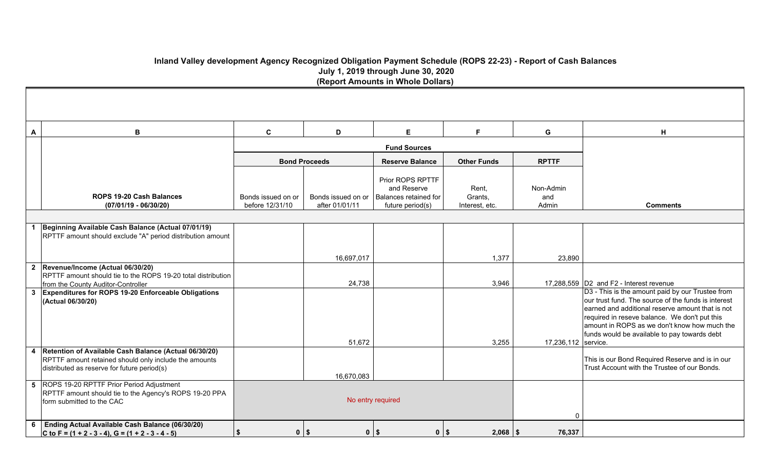## **Inland Valley development Agency Recognized Obligation Payment Schedule (ROPS 22-23) - Report of Cash Balances July 1, 2019 through June 30, 2020 (Report Amounts in Whole Dollars)**

| A  | В                                                                                                                                                               | $\mathbf c$                           | D                                    | E                                                                            | F.                                 | G                         | H                                                                                                                                                                                                                                                                                                            |
|----|-----------------------------------------------------------------------------------------------------------------------------------------------------------------|---------------------------------------|--------------------------------------|------------------------------------------------------------------------------|------------------------------------|---------------------------|--------------------------------------------------------------------------------------------------------------------------------------------------------------------------------------------------------------------------------------------------------------------------------------------------------------|
|    |                                                                                                                                                                 |                                       |                                      | <b>Fund Sources</b>                                                          |                                    |                           |                                                                                                                                                                                                                                                                                                              |
|    |                                                                                                                                                                 | <b>Bond Proceeds</b>                  |                                      | <b>Reserve Balance</b>                                                       | <b>Other Funds</b>                 | <b>RPTTF</b>              |                                                                                                                                                                                                                                                                                                              |
|    | <b>ROPS 19-20 Cash Balances</b><br>$(07/01/19 - 06/30/20)$                                                                                                      | Bonds issued on or<br>before 12/31/10 | Bonds issued on or<br>after 01/01/11 | Prior ROPS RPTTF<br>and Reserve<br>Balances retained for<br>future period(s) | Rent,<br>Grants,<br>Interest, etc. | Non-Admin<br>and<br>Admin | <b>Comments</b>                                                                                                                                                                                                                                                                                              |
|    |                                                                                                                                                                 |                                       |                                      |                                                                              |                                    |                           |                                                                                                                                                                                                                                                                                                              |
| -1 | Beginning Available Cash Balance (Actual 07/01/19)<br>RPTTF amount should exclude "A" period distribution amount                                                |                                       |                                      |                                                                              |                                    |                           |                                                                                                                                                                                                                                                                                                              |
|    |                                                                                                                                                                 |                                       | 16,697,017                           |                                                                              | 1,377                              | 23,890                    |                                                                                                                                                                                                                                                                                                              |
|    | 2 Revenue/Income (Actual 06/30/20)<br>RPTTF amount should tie to the ROPS 19-20 total distribution<br>from the County Auditor-Controller                        |                                       | 24,738                               |                                                                              | 3,946                              |                           | 17,288,559 D2 and F2 - Interest revenue                                                                                                                                                                                                                                                                      |
|    | 3 Expenditures for ROPS 19-20 Enforceable Obligations<br>(Actual 06/30/20)                                                                                      |                                       | 51,672                               |                                                                              | 3,255                              | 17,236,112 service.       | D3 - This is the amount paid by our Trustee from<br>our trust fund. The source of the funds is interest<br>earned and additional reserve amount that is not<br>required in reseve balance. We don't put this<br>amount in ROPS as we don't know how much the<br>funds would be available to pay towards debt |
|    | 4 Retention of Available Cash Balance (Actual 06/30/20)<br>RPTTF amount retained should only include the amounts<br>distributed as reserve for future period(s) |                                       | 16,670,083                           |                                                                              |                                    |                           | This is our Bond Required Reserve and is in our<br>Trust Account with the Trustee of our Bonds.                                                                                                                                                                                                              |
|    | 5 ROPS 19-20 RPTTF Prior Period Adjustment<br>RPTTF amount should tie to the Agency's ROPS 19-20 PPA<br>form submitted to the CAC                               |                                       | No entry required                    |                                                                              |                                    | $\mathbf{0}$              |                                                                                                                                                                                                                                                                                                              |
| 6  | Ending Actual Available Cash Balance (06/30/20)<br>C to F = $(1 + 2 - 3 - 4)$ , G = $(1 + 2 - 3 - 4 - 5)$                                                       | $0$   \$<br>Ŝ.                        | $0$   \$                             | $0$   \$                                                                     | $2,068$ \ \ \$                     | 76,337                    |                                                                                                                                                                                                                                                                                                              |